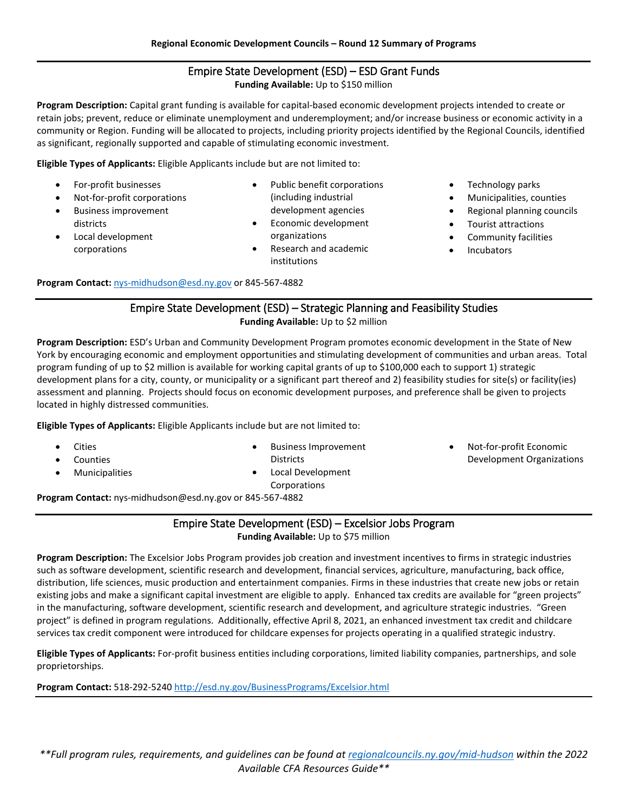# Empire State Development (ESD) – ESD Grant Funds **Funding Available:** Up to \$150 million

**Program Description:** Capital grant funding is available for capital-based economic development projects intended to create or retain jobs; prevent, reduce or eliminate unemployment and underemployment; and/or increase business or economic activity in a community or Region. Funding will be allocated to projects, including priority projects identified by the Regional Councils, identified as significant, regionally supported and capable of stimulating economic investment.

**Eligible Types of Applicants:** Eligible Applicants include but are not limited to:

- For-profit businesses
- Not-for-profit corporations
- Business improvement districts
- Local development corporations
- Public benefit corporations (including industrial development agencies
- Economic development organizations
- Research and academic institutions
- Technology parks
- Municipalities, counties
- Regional planning councils
- Tourist attractions
- Community facilities
- **Incubators**

**Program Contact:** [nys-midhudson@esd.ny.gov](mailto:nys-midhudson@esd.ny.gov) or 845-567-4882

## Empire State Development (ESD) – Strategic Planning and Feasibility Studies **Funding Available:** Up to \$2 million

**Program Description:** ESD's Urban and Community Development Program promotes economic development in the State of New York by encouraging economic and employment opportunities and stimulating development of communities and urban areas. Total program funding of up to \$2 million is available for working capital grants of up to \$100,000 each to support 1) strategic development plans for a city, county, or municipality or a significant part thereof and 2) feasibility studies for site(s) or facility(ies) assessment and planning. Projects should focus on economic development purposes, and preference shall be given to projects located in highly distressed communities.

**Eligible Types of Applicants:** Eligible Applicants include but are not limited to:

- **Cities**
- **Counties**
- **Municipalities**
- Business Improvement **Districts**
- Local Development Corporations

• Not-for-profit Economic Development Organizations

**Program Contact:** nys-midhudson@esd.ny.gov or 845-567-4882

## Empire State Development (ESD) – Excelsior Jobs Program **Funding Available:** Up to \$75 million

**Program Description:** The Excelsior Jobs Program provides job creation and investment incentives to firms in strategic industries such as software development, scientific research and development, financial services, agriculture, manufacturing, back office, distribution, life sciences, music production and entertainment companies. Firms in these industries that create new jobs or retain existing jobs and make a significant capital investment are eligible to apply. Enhanced tax credits are available for "green projects" in the manufacturing, software development, scientific research and development, and agriculture strategic industries. "Green project" is defined in program regulations. Additionally, effective April 8, 2021, an enhanced investment tax credit and childcare services tax credit component were introduced for childcare expenses for projects operating in a qualified strategic industry.

**Eligible Types of Applicants:** For-profit business entities including corporations, limited liability companies, partnerships, and sole proprietorships.

**Program Contact:** 518-292-5240<http://esd.ny.gov/BusinessPrograms/Excelsior.html>

*\*\*Full program rules, requirements, and guidelines can be found a[t regionalcouncils.ny.gov/mid-hudson](https://regionalcouncils.ny.gov/mid-hudson) within the 2022 Available CFA Resources Guide\*\**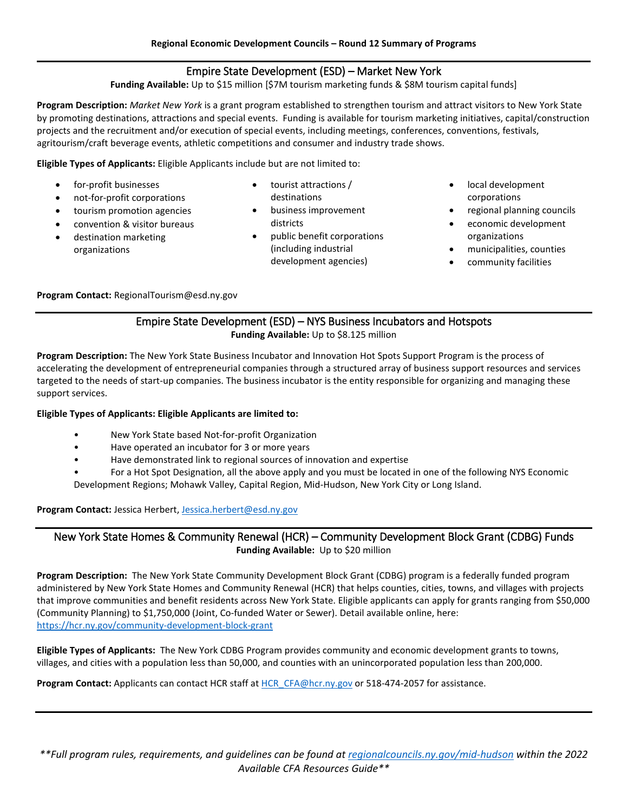# Empire State Development (ESD) – Market New York

**Funding Available:** Up to \$15 million [\$7M tourism marketing funds & \$8M tourism capital funds]

**Program Description:** *Market New York* is a grant program established to strengthen tourism and attract visitors to New York State by promoting destinations, attractions and special events. Funding is available for tourism marketing initiatives, capital/construction projects and the recruitment and/or execution of special events, including meetings, conferences, conventions, festivals, agritourism/craft beverage events, athletic competitions and consumer and industry trade shows.

**Eligible Types of Applicants:** Eligible Applicants include but are not limited to:

- for-profit businesses
- not-for-profit corporations
- tourism promotion agencies
- convention & visitor bureaus
- destination marketing organizations
- tourist attractions / destinations
- business improvement districts
- public benefit corporations (including industrial development agencies)
- local development corporations
- regional planning councils
- economic development organizations
- municipalities, counties
- community facilities

**Program Contact:** RegionalTourism@esd.ny.gov

#### Empire State Development (ESD) – NYS Business Incubators and Hotspots **Funding Available:** Up to \$8.125 million

**Program Description:** The New York State Business Incubator and Innovation Hot Spots Support Program is the process of accelerating the development of entrepreneurial companies through a structured array of business support resources and services targeted to the needs of start-up companies. The business incubator is the entity responsible for organizing and managing these support services.

#### **Eligible Types of Applicants: Eligible Applicants are limited to:**

- New York State based Not-for-profit Organization
- Have operated an incubator for 3 or more years
- Have demonstrated link to regional sources of innovation and expertise
- For a Hot Spot Designation, all the above apply and you must be located in one of the following NYS Economic Development Regions; Mohawk Valley, Capital Region, Mid-Hudson, New York City or Long Island.

**Program Contact:** Jessica Herbert[, Jessica.herbert@esd.ny.gov](mailto:Jessica.herbert@esd.ny.gov)

New York State Homes & Community Renewal (HCR) – Community Development Block Grant (CDBG) Funds **Funding Available:** Up to \$20 million

**Program Description:** The New York State Community Development Block Grant (CDBG) program is a federally funded program administered by New York State Homes and Community Renewal (HCR) that helps counties, cities, towns, and villages with projects that improve communities and benefit residents across New York State. Eligible applicants can apply for grants ranging from \$50,000 (Community Planning) to \$1,750,000 (Joint, Co-funded Water or Sewer). Detail available online, here: <https://hcr.ny.gov/community-development-block-grant>

**Eligible Types of Applicants:** The New York CDBG Program provides community and economic development grants to towns, villages, and cities with a population less than 50,000, and counties with an unincorporated population less than 200,000.

**Program Contact:** Applicants can contact HCR staff at [HCR\\_CFA@hcr.ny.gov](mailto:HCR_CFA@hcr.ny.gov) or 518-474-2057 for assistance.

*\*\*Full program rules, requirements, and guidelines can be found a[t regionalcouncils.ny.gov/mid-hudson](https://regionalcouncils.ny.gov/mid-hudson) within the 2022 Available CFA Resources Guide\*\**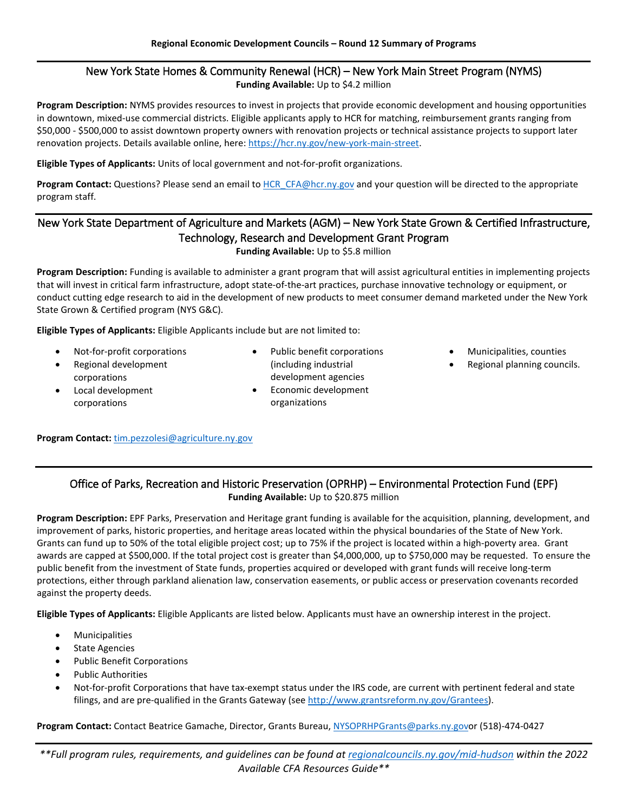# New York State Homes & Community Renewal (HCR) – New York Main Street Program (NYMS) **Funding Available:** Up to \$4.2 million

**Program Description:** NYMS provides resources to invest in projects that provide economic development and housing opportunities in downtown, mixed-use commercial districts. Eligible applicants apply to HCR for matching, reimbursement grants ranging from \$50,000 - \$500,000 to assist downtown property owners with renovation projects or technical assistance projects to support later renovation projects. Details available online, here[: https://hcr.ny.gov/new-york-main-street.](https://hcr.ny.gov/new-york-main-street)

**Eligible Types of Applicants:** Units of local government and not-for-profit organizations.

Program Contact: Questions? Please send an email to **HCR\_CFA@hcr.ny.gov** and your question will be directed to the appropriate program staff.

# New York State Department of Agriculture and Markets (AGM) – New York State Grown & Certified Infrastructure, Technology, Research and Development Grant Program

#### **Funding Available:** Up to \$5.8 million

**Program Description:** Funding is available to administer a grant program that will assist agricultural entities in implementing projects that will invest in critical farm infrastructure, adopt state-of-the-art practices, purchase innovative technology or equipment, or conduct cutting edge research to aid in the development of new products to meet consumer demand marketed under the New York State Grown & Certified program (NYS G&C).

**Eligible Types of Applicants:** Eligible Applicants include but are not limited to:

- Not-for-profit corporations
- Regional development corporations
- Local development corporations
- Public benefit corporations (including industrial development agencies
- Economic development organizations
- Municipalities, counties
- Regional planning councils.

### **Program Contact:** [tim.pezzolesi@agriculture.ny.gov](mailto:tim.pezzolesi@agriculture.ny.gov)

# Office of Parks, Recreation and Historic Preservation (OPRHP) – Environmental Protection Fund (EPF) **Funding Available:** Up to \$20.875 million

**Program Description:** EPF Parks, Preservation and Heritage grant funding is available for the acquisition, planning, development, and improvement of parks, historic properties, and heritage areas located within the physical boundaries of the State of New York. Grants can fund up to 50% of the total eligible project cost; up to 75% if the project is located within a high-poverty area. Grant awards are capped at \$500,000. If the total project cost is greater than \$4,000,000, up to \$750,000 may be requested. To ensure the public benefit from the investment of State funds, properties acquired or developed with grant funds will receive long-term protections, either through parkland alienation law, conservation easements, or public access or preservation covenants recorded against the property deeds.

**Eligible Types of Applicants:** Eligible Applicants are listed below. Applicants must have an ownership interest in the project.

- **Municipalities**
- State Agencies
- Public Benefit Corporations
- Public Authorities
- Not-for-profit Corporations that have tax-exempt status under the IRS code, are current with pertinent federal and state filings, and are pre-qualified in the Grants Gateway (se[e http://www.grantsreform.ny.gov/Grantees\)](http://www.grantsreform.ny.gov/Grantees).

**Program Contact:** Contact Beatrice Gamache, Director, Grants Bureau, [NYSOPRHPGrants@parks.ny.govo](mailto:NYSOPRHPGrants@parks.ny.gov)r (518)-474-0427

*\*\*Full program rules, requirements, and guidelines can be found a[t regionalcouncils.ny.gov/mid-hudson](https://regionalcouncils.ny.gov/mid-hudson) within the 2022 Available CFA Resources Guide\*\**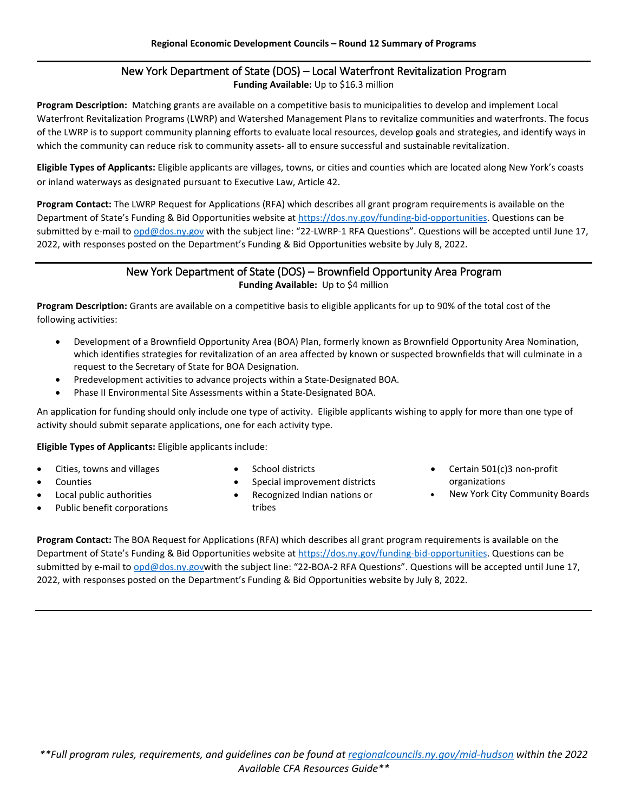# New York Department of State (DOS) – Local Waterfront Revitalization Program **Funding Available:** Up to \$16.3 million

**Program Description:** Matching grants are available on a competitive basis to municipalities to develop and implement Local Waterfront Revitalization Programs (LWRP) and Watershed Management Plans to revitalize communities and waterfronts. The focus of the LWRP is to support community planning efforts to evaluate local resources, develop goals and strategies, and identify ways in which the community can reduce risk to community assets- all to ensure successful and sustainable revitalization.

**Eligible Types of Applicants:** Eligible applicants are villages, towns, or cities and counties which are located along New York's coasts or inland waterways as designated pursuant to Executive Law, Article 42.

**Program Contact:** The LWRP Request for Applications (RFA) which describes all grant program requirements is available on the Department of State's Funding & Bid Opportunities website at [https://dos.ny.gov/funding-bid-opportunities.](https://dos.ny.gov/funding-bid-opportunities) Questions can be submitted by e-mail t[o opd@dos.ny.gov](mailto:opd@dos.ny.gov) with the subject line: "22-LWRP-1 RFA Questions". Questions will be accepted until June 17, 2022, with responses posted on the Department's Funding & Bid Opportunities website by July 8, 2022.

# New York Department of State (DOS) – Brownfield Opportunity Area Program

**Funding Available:** Up to \$4 million

**Program Description:** Grants are available on a competitive basis to eligible applicants for up to 90% of the total cost of the following activities:

- Development of a Brownfield Opportunity Area (BOA) Plan, formerly known as Brownfield Opportunity Area Nomination, which identifies strategies for revitalization of an area affected by known or suspected brownfields that will culminate in a request to the Secretary of State for BOA Designation.
- Predevelopment activities to advance projects within a State-Designated BOA.
- Phase II Environmental Site Assessments within a State-Designated BOA.

An application for funding should only include one type of activity. Eligible applicants wishing to apply for more than one type of activity should submit separate applications, one for each activity type.

**Eligible Types of Applicants:** Eligible applicants include:

- Cities, towns and villages
- **Counties**
- School districts
- Special improvement districts
- Local public authorities
- Public benefit corporations
- Recognized Indian nations or tribes
- Certain 501(c)3 non-profit organizations
- New York City Community Boards

**Program Contact:** The BOA Request for Applications (RFA) which describes all grant program requirements is available on the Department of State's Funding & Bid Opportunities website at [https://dos.ny.gov/funding-bid-opportunities.](https://dos.ny.gov/funding-bid-opportunities) Questions can be submitted by e-mail t[o opd@dos.ny.govw](mailto:opd@dos.ny.gov)ith the subject line: "22-BOA-2 RFA Questions". Questions will be accepted until June 17, 2022, with responses posted on the Department's Funding & Bid Opportunities website by July 8, 2022.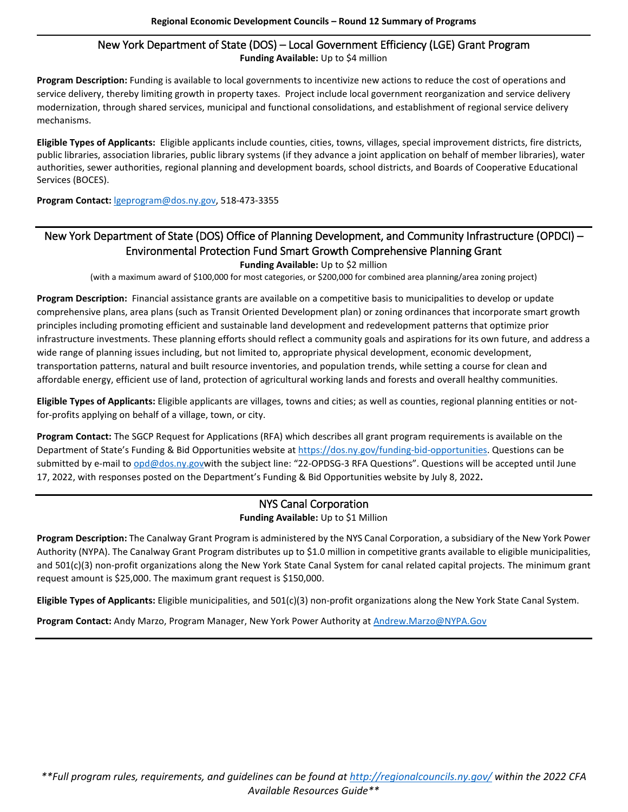#### New York Department of State (DOS) – Local Government Efficiency (LGE) Grant Program **Funding Available:** Up to \$4 million

**Program Description:** Funding is available to local governments to incentivize new actions to reduce the cost of operations and service delivery, thereby limiting growth in property taxes. Project include local government reorganization and service delivery modernization, through shared services, municipal and functional consolidations, and establishment of regional service delivery mechanisms.

**Eligible Types of Applicants:** Eligible applicants include counties, cities, towns, villages, special improvement districts, fire districts, public libraries, association libraries, public library systems (if they advance a joint application on behalf of member libraries), water authorities, sewer authorities, regional planning and development boards, school districts, and Boards of Cooperative Educational Services (BOCES).

**Program Contact:** [lgeprogram@dos.ny.gov,](mailto:lgeprogram@dos.ny.gov) 518-473-3355

# New York Department of State (DOS) Office of Planning Development, and Community Infrastructure (OPDCI) – Environmental Protection Fund Smart Growth Comprehensive Planning Grant **Funding Available:** Up to \$2 million

(with a maximum award of \$100,000 for most categories, or \$200,000 for combined area planning/area zoning project)

**Program Description:** Financial assistance grants are available on a competitive basis to municipalities to develop or update comprehensive plans, area plans (such as Transit Oriented Development plan) or zoning ordinances that incorporate smart growth principles including promoting efficient and sustainable land development and redevelopment patterns that optimize prior infrastructure investments. These planning efforts should reflect a community goals and aspirations for its own future, and address a wide range of planning issues including, but not limited to, appropriate physical development, economic development, transportation patterns, natural and built resource inventories, and population trends, while setting a course for clean and affordable energy, efficient use of land, protection of agricultural working lands and forests and overall healthy communities.

**Eligible Types of Applicants:** Eligible applicants are villages, towns and cities; as well as counties, regional planning entities or notfor-profits applying on behalf of a village, town, or city.

**Program Contact:** The SGCP Request for Applications (RFA) which describes all grant program requirements is available on the Department of State's Funding & Bid Opportunities website at [https://dos.ny.gov/funding-bid-opportunities.](https://dos.ny.gov/funding-bid-opportunities) Questions can be submitted by e-mail t[o opd@dos.ny.govw](mailto:opd@dos.ny.gov)ith the subject line: "22-OPDSG-3 RFA Questions". Questions will be accepted until June 17, 2022, with responses posted on the Department's Funding & Bid Opportunities website by July 8, 2022**.**

## NYS Canal Corporation **Funding Available:** Up to \$1 Million

**Program Description:** The Canalway Grant Program is administered by the NYS Canal Corporation, a subsidiary of the New York Power Authority (NYPA). The Canalway Grant Program distributes up to \$1.0 million in competitive grants available to eligible municipalities, and 501(c)(3) non-profit organizations along the New York State Canal System for canal related capital projects. The minimum grant request amount is \$25,000. The maximum grant request is \$150,000.

**Eligible Types of Applicants:** Eligible municipalities, and 501(c)(3) non-profit organizations along the New York State Canal System.

**Program Contact:** Andy Marzo, Program Manager, New York Power Authority at [Andrew.Marzo@NYPA.Gov](mailto:Andrew.Marzo@NYPA.Gov)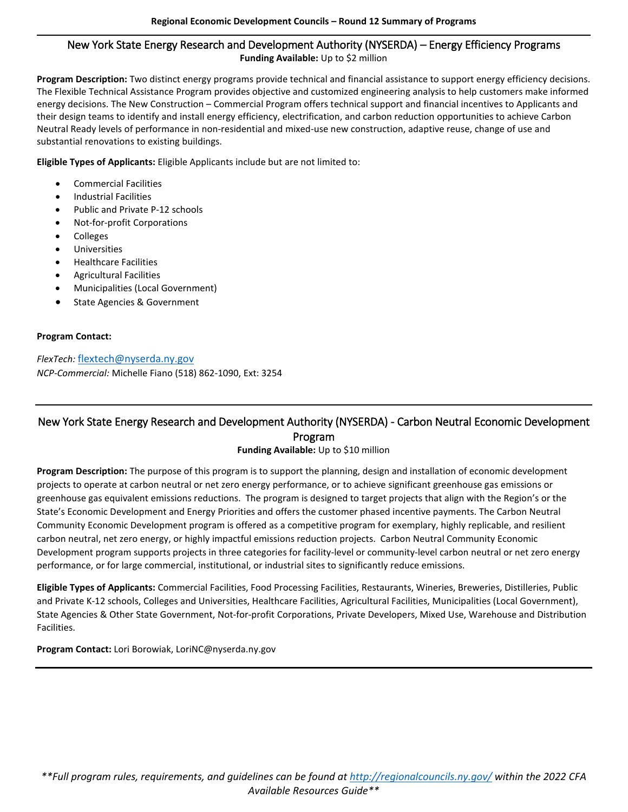#### New York State Energy Research and Development Authority (NYSERDA) – Energy Efficiency Programs **Funding Available:** Up to \$2 million

**Program Description:** Two distinct energy programs provide technical and financial assistance to support energy efficiency decisions. The Flexible Technical Assistance Program provides objective and customized engineering analysis to help customers make informed energy decisions. The New Construction – Commercial Program offers technical support and financial incentives to Applicants and their design teams to identify and install energy efficiency, electrification, and carbon reduction opportunities to achieve Carbon Neutral Ready levels of performance in non-residential and mixed-use new construction, adaptive reuse, change of use and substantial renovations to existing buildings.

**Eligible Types of Applicants:** Eligible Applicants include but are not limited to:

- Commercial Facilities
- Industrial Facilities
- Public and Private P-12 schools
- Not-for-profit Corporations
- Colleges
- **Universities**
- Healthcare Facilities
- Agricultural Facilities
- Municipalities (Local Government)
- State Agencies & Government

#### **Program Contact:**

*FlexTech:* [flextech@nyserda.ny.gov](mailto:flextech@nyserda.ny.gov)  *NCP-Commercial:* Michelle Fiano (518) 862-1090, Ext: 3254

# New York State Energy Research and Development Authority (NYSERDA) - Carbon Neutral Economic Development Program

#### **Funding Available:** Up to \$10 million

**Program Description:** The purpose of this program is to support the planning, design and installation of economic development projects to operate at carbon neutral or net zero energy performance, or to achieve significant greenhouse gas emissions or greenhouse gas equivalent emissions reductions. The program is designed to target projects that align with the Region's or the State's Economic Development and Energy Priorities and offers the customer phased incentive payments. The Carbon Neutral Community Economic Development program is offered as a competitive program for exemplary, highly replicable, and resilient carbon neutral, net zero energy, or highly impactful emissions reduction projects. Carbon Neutral Community Economic Development program supports projects in three categories for facility-level or community-level carbon neutral or net zero energy performance, or for large commercial, institutional, or industrial sites to significantly reduce emissions.

**Eligible Types of Applicants:** Commercial Facilities, Food Processing Facilities, Restaurants, Wineries, Breweries, Distilleries, Public and Private K-12 schools, Colleges and Universities, Healthcare Facilities, Agricultural Facilities, Municipalities (Local Government), State Agencies & Other State Government, Not-for-profit Corporations, Private Developers, Mixed Use, Warehouse and Distribution Facilities.

**Program Contact:** Lori Borowiak, LoriNC@nyserda.ny.gov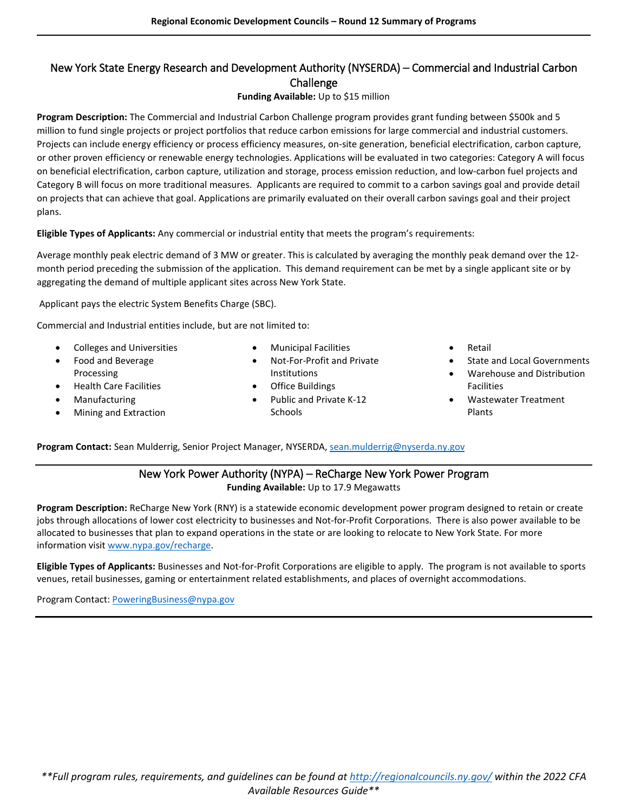# New York State Energy Research and Development Authority (NYSERDA) – Commercial and Industrial Carbon Challenge

#### **Funding Available:** Up to \$15 million

**Program Description:** The Commercial and Industrial Carbon Challenge program provides grant funding between \$500k and 5 million to fund single projects or project portfolios that reduce carbon emissions for large commercial and industrial customers. Projects can include energy efficiency or process efficiency measures, on-site generation, beneficial electrification, carbon capture, or other proven efficiency or renewable energy technologies. Applications will be evaluated in two categories: Category A will focus on beneficial electrification, carbon capture, utilization and storage, process emission reduction, and low-carbon fuel projects and Category B will focus on more traditional measures. Applicants are required to commit to a carbon savings goal and provide detail on projects that can achieve that goal. Applications are primarily evaluated on their overall carbon savings goal and their project plans.

**Eligible Types of Applicants:** Any commercial or industrial entity that meets the program's requirements:

Average monthly peak electric demand of 3 MW or greater. This is calculated by averaging the monthly peak demand over the 12 month period preceding the submission of the application. This demand requirement can be met by a single applicant site or by aggregating the demand of multiple applicant sites across New York State.

Applicant pays the electric System Benefits Charge (SBC).

Commercial and Industrial entities include, but are not limited to:

- Colleges and Universities
- Food and Beverage Processing
- Health Care Facilities
- **Manufacturing**
- Mining and Extraction
- Municipal Facilities
- Not-For-Profit and Private Institutions
- Office Buildings
- Public and Private K-12 **Schools**
- **Retail**
- State and Local Governments
- Warehouse and Distribution Facilities
- Wastewater Treatment Plants

**Program Contact:** Sean Mulderrig, Senior Project Manager, NYSERDA[, sean.mulderrig@nyserda.ny.gov](mailto:sean.mulderrig@nyserda.ny.gov) 

#### New York Power Authority (NYPA) – ReCharge New York Power Program **Funding Available:** Up to 17.9 Megawatts

**Program Description:** ReCharge New York (RNY) is a statewide economic development power program designed to retain or create jobs through allocations of lower cost electricity to businesses and Not-for-Profit Corporations. There is also power available to be allocated to businesses that plan to expand operations in the state or are looking to relocate to New York State. For more information visit www.nypa.gov/recharge.

**Eligible Types of Applicants:** Businesses and Not-for-Profit Corporations are eligible to apply. The program is not available to sports venues, retail businesses, gaming or entertainment related establishments, and places of overnight accommodations.

Program Contact[: PoweringBusiness@nypa.gov](mailto:PoweringBusiness@nypa.gov)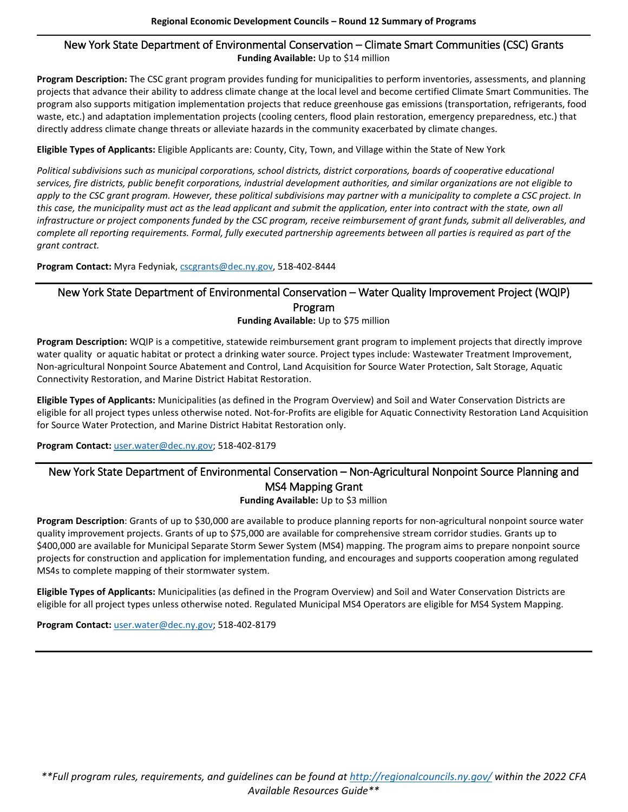### New York State Department of Environmental Conservation – Climate Smart Communities (CSC) Grants **Funding Available:** Up to \$14 million

**Program Description:** The CSC grant program provides funding for municipalities to perform inventories, assessments, and planning projects that advance their ability to address climate change at the local level and become certified Climate Smart Communities. The program also supports mitigation implementation projects that reduce greenhouse gas emissions (transportation, refrigerants, food waste, etc.) and adaptation implementation projects (cooling centers, flood plain restoration, emergency preparedness, etc.) that directly address climate change threats or alleviate hazards in the community exacerbated by climate changes.

#### **Eligible Types of Applicants:** Eligible Applicants are: County, City, Town, and Village within the State of New York

*Political subdivisions such as municipal corporations, school districts, district corporations, boards of cooperative educational services, fire districts, public benefit corporations, industrial development authorities, and similar organizations are not eligible to apply to the CSC grant program. However, these political subdivisions may partner with a municipality to complete a CSC project. In this case, the municipality must act as the lead applicant and submit the application, enter into contract with the state, own all infrastructure or project components funded by the CSC program, receive reimbursement of grant funds, submit all deliverables, and complete all reporting requirements. Formal, fully executed partnership agreements between all parties is required as part of the grant contract.* 

**Program Contact:** Myra Fedyniak[, cscgrants@dec.ny.gov,](mailto:cscgrants@dec.ny.gov) 518-402-8444

# New York State Department of Environmental Conservation – Water Quality Improvement Project (WQIP) Program

**Funding Available:** Up to \$75 million

**Program Description:** WQIP is a competitive, statewide reimbursement grant program to implement projects that directly improve water quality or aquatic habitat or protect a drinking water source. Project types include: Wastewater Treatment Improvement, Non-agricultural Nonpoint Source Abatement and Control, Land Acquisition for Source Water Protection, Salt Storage, Aquatic Connectivity Restoration, and Marine District Habitat Restoration.

**Eligible Types of Applicants:** Municipalities (as defined in the Program Overview) and Soil and Water Conservation Districts are eligible for all project types unless otherwise noted. Not-for-Profits are eligible for Aquatic Connectivity Restoration Land Acquisition for Source Water Protection, and Marine District Habitat Restoration only.

**Program Contact:** user.water@dec.ny.gov; 518-402-8179

# New York State Department of Environmental Conservation – Non-Agricultural Nonpoint Source Planning and MS4 Mapping Grant

**Funding Available:** Up to \$3 million

**Program Description**: Grants of up to \$30,000 are available to produce planning reports for non-agricultural nonpoint source water quality improvement projects. Grants of up to \$75,000 are available for comprehensive stream corridor studies. Grants up to \$400,000 are available for Municipal Separate Storm Sewer System (MS4) mapping. The program aims to prepare nonpoint source projects for construction and application for implementation funding, and encourages and supports cooperation among regulated MS4s to complete mapping of their stormwater system.

**Eligible Types of Applicants:** Municipalities (as defined in the Program Overview) and Soil and Water Conservation Districts are eligible for all project types unless otherwise noted. Regulated Municipal MS4 Operators are eligible for MS4 System Mapping.

**Program Contact:** user.water@dec.ny.gov; 518-402-8179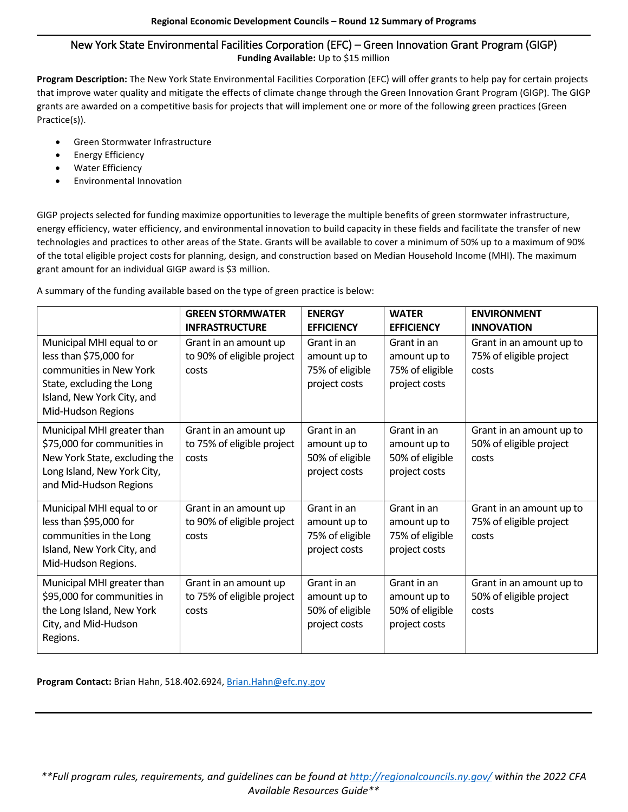## New York State Environmental Facilities Corporation (EFC) – Green Innovation Grant Program (GIGP) **Funding Available:** Up to \$15 million

**Program Description:** The New York State Environmental Facilities Corporation (EFC) will offer grants to help pay for certain projects that improve water quality and mitigate the effects of climate change through the Green Innovation Grant Program (GIGP). The GIGP grants are awarded on a competitive basis for projects that will implement one or more of the following green practices (Green Practice(s)).

- Green Stormwater Infrastructure
- Energy Efficiency
- Water Efficiency
- Environmental Innovation

GIGP projects selected for funding maximize opportunities to leverage the multiple benefits of green stormwater infrastructure, energy efficiency, water efficiency, and environmental innovation to build capacity in these fields and facilitate the transfer of new technologies and practices to other areas of the State. Grants will be available to cover a minimum of 50% up to a maximum of 90% of the total eligible project costs for planning, design, and construction based on Median Household Income (MHI). The maximum grant amount for an individual GIGP award is \$3 million.

A summary of the funding available based on the type of green practice is below:

|                                                                                                                                                                 | <b>GREEN STORMWATER</b><br><b>INFRASTRUCTURE</b>             | <b>ENERGY</b><br><b>EFFICIENCY</b>                              | <b>WATER</b><br><b>EFFICIENCY</b>                               | <b>ENVIRONMENT</b><br><b>INNOVATION</b>                      |
|-----------------------------------------------------------------------------------------------------------------------------------------------------------------|--------------------------------------------------------------|-----------------------------------------------------------------|-----------------------------------------------------------------|--------------------------------------------------------------|
| Municipal MHI equal to or<br>less than \$75,000 for<br>communities in New York<br>State, excluding the Long<br>Island, New York City, and<br>Mid-Hudson Regions | Grant in an amount up<br>to 90% of eligible project<br>costs | Grant in an<br>amount up to<br>75% of eligible<br>project costs | Grant in an<br>amount up to<br>75% of eligible<br>project costs | Grant in an amount up to<br>75% of eligible project<br>costs |
| Municipal MHI greater than<br>\$75,000 for communities in<br>New York State, excluding the<br>Long Island, New York City,<br>and Mid-Hudson Regions             | Grant in an amount up<br>to 75% of eligible project<br>costs | Grant in an<br>amount up to<br>50% of eligible<br>project costs | Grant in an<br>amount up to<br>50% of eligible<br>project costs | Grant in an amount up to<br>50% of eligible project<br>costs |
| Municipal MHI equal to or<br>less than \$95,000 for<br>communities in the Long<br>Island, New York City, and<br>Mid-Hudson Regions.                             | Grant in an amount up<br>to 90% of eligible project<br>costs | Grant in an<br>amount up to<br>75% of eligible<br>project costs | Grant in an<br>amount up to<br>75% of eligible<br>project costs | Grant in an amount up to<br>75% of eligible project<br>costs |
| Municipal MHI greater than<br>\$95,000 for communities in<br>the Long Island, New York<br>City, and Mid-Hudson<br>Regions.                                      | Grant in an amount up<br>to 75% of eligible project<br>costs | Grant in an<br>amount up to<br>50% of eligible<br>project costs | Grant in an<br>amount up to<br>50% of eligible<br>project costs | Grant in an amount up to<br>50% of eligible project<br>costs |

**Program Contact:** Brian Hahn, 518.402.6924, [Brian.Hahn@efc.ny.gov](mailto:Brian.Hahn@efc.ny.gov)